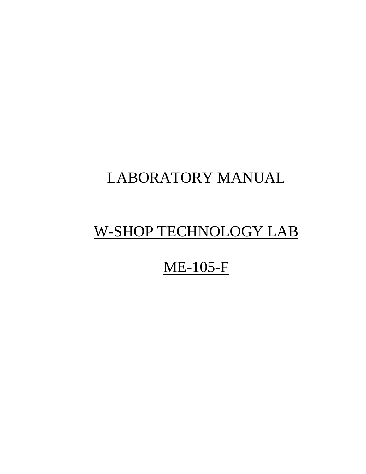# LABORATORY MANUAL

## W-SHOP TECHNOLOGY LAB

## ME-105-F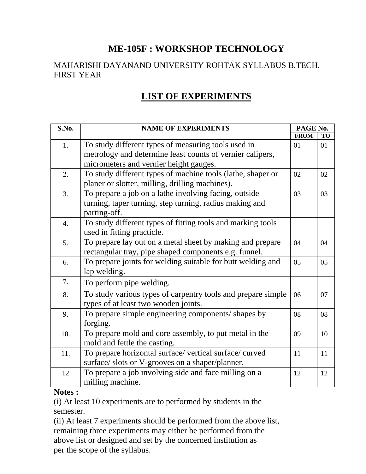## **ME-105F : WORKSHOP TECHNOLOGY**

#### MAHARISHI DAYANAND UNIVERSITY ROHTAK SYLLABUS B.TECH. FIRST YEAR

## **LIST OF EXPERIMENTS**

| S.No.            | <b>NAME OF EXPERIMENTS</b>                                   |             | PAGE No.  |  |
|------------------|--------------------------------------------------------------|-------------|-----------|--|
|                  |                                                              | <b>FROM</b> | <b>TO</b> |  |
| 1.               | To study different types of measuring tools used in          | 01          | 01        |  |
|                  | metrology and determine least counts of vernier calipers,    |             |           |  |
|                  | micrometers and vernier height gauges.                       |             |           |  |
| 2.               | To study different types of machine tools (lathe, shaper or  | 02          | 02        |  |
|                  | planer or slotter, milling, drilling machines).              |             |           |  |
| 3.               | To prepare a job on a lathe involving facing, outside        | 03          | 03        |  |
|                  | turning, taper turning, step turning, radius making and      |             |           |  |
|                  | parting-off.                                                 |             |           |  |
| $\overline{4}$ . | To study different types of fitting tools and marking tools  |             |           |  |
|                  | used in fitting practicle.                                   |             |           |  |
| 5.               | To prepare lay out on a metal sheet by making and prepare    | 04          | 04        |  |
|                  | rectangular tray, pipe shaped components e.g. funnel.        |             |           |  |
| 6.               | To prepare joints for welding suitable for butt welding and  | 05          | 05        |  |
|                  | lap welding.                                                 |             |           |  |
| 7.               | To perform pipe welding.                                     |             |           |  |
| 8.               | To study various types of carpentry tools and prepare simple | 06          | 07        |  |
|                  | types of at least two wooden joints.                         |             |           |  |
| 9.               | To prepare simple engineering components/ shapes by          | 08          | 08        |  |
|                  | forging.                                                     |             |           |  |
| 10.              | To prepare mold and core assembly, to put metal in the       | 09          | 10        |  |
|                  | mold and fettle the casting.                                 |             |           |  |
| 11.              | To prepare horizontal surface/ vertical surface/ curved      | 11          | 11        |  |
|                  | surface/ slots or V-grooves on a shaper/planner.             |             |           |  |
| 12               | To prepare a job involving side and face milling on a        | 12          | 12        |  |
|                  | milling machine.                                             |             |           |  |

#### **Notes :**

(i) At least 10 experiments are to performed by students in the semester.

(ii) At least 7 experiments should be performed from the above list, remaining three experiments may either be performed from the above list or designed and set by the concerned institution as per the scope of the syllabus.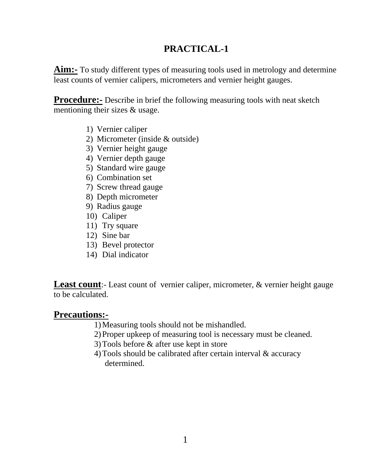**Aim:-** To study different types of measuring tools used in metrology and determine least counts of vernier calipers, micrometers and vernier height gauges.

**Procedure:** Describe in brief the following measuring tools with neat sketch mentioning their sizes & usage.

- 1) Vernier caliper
- 2) Micrometer (inside & outside)
- 3) Vernier height gauge
- 4) Vernier depth gauge
- 5) Standard wire gauge
- 6) Combination set
- 7) Screw thread gauge
- 8) Depth micrometer
- 9) Radius gauge
- 10) Caliper
- 11) Try square
- 12) Sine bar
- 13) Bevel protector
- 14) Dial indicator

**Least count**:- Least count of vernier caliper, micrometer, & vernier height gauge to be calculated.

#### **Precautions:-**

- 1)Measuring tools should not be mishandled.
- 2)Proper upkeep of measuring tool is necessary must be cleaned.
- 3)Tools before & after use kept in store
- 4)Tools should be calibrated after certain interval & accuracy determined.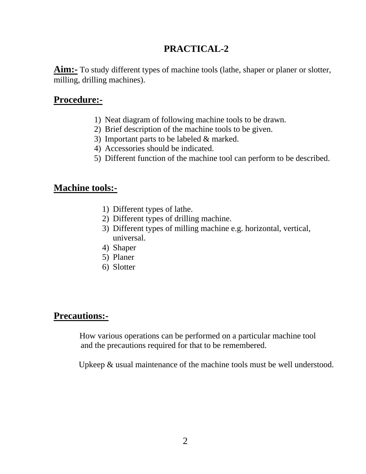**Aim:-** To study different types of machine tools (lathe, shaper or planer or slotter, milling, drilling machines).

### **Procedure:-**

- 1) Neat diagram of following machine tools to be drawn.
- 2) Brief description of the machine tools to be given.
- 3) Important parts to be labeled & marked.
- 4) Accessories should be indicated.
- 5) Different function of the machine tool can perform to be described.

### **Machine tools:-**

- 1) Different types of lathe.
- 2) Different types of drilling machine.
- 3) Different types of milling machine e.g. horizontal, vertical, universal.
- 4) Shaper
- 5) Planer
- 6) Slotter

### **Precautions:-**

 How various operations can be performed on a particular machine tool and the precautions required for that to be remembered.

Upkeep & usual maintenance of the machine tools must be well understood.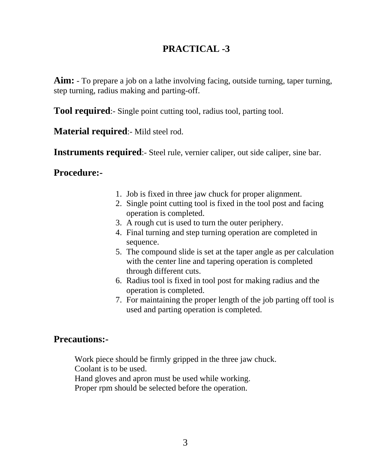**Aim:** - To prepare a job on a lathe involving facing, outside turning, taper turning, step turning, radius making and parting-off.

**Tool required**:- Single point cutting tool, radius tool, parting tool.

**Material required**:- Mild steel rod.

**Instruments required**:- Steel rule, vernier caliper, out side caliper, sine bar.

#### **Procedure:-**

- 1. Job is fixed in three jaw chuck for proper alignment.
- 2. Single point cutting tool is fixed in the tool post and facing operation is completed.
- 3. A rough cut is used to turn the outer periphery.
- 4. Final turning and step turning operation are completed in sequence.
- 5. The compound slide is set at the taper angle as per calculation with the center line and tapering operation is completed through different cuts.
- 6. Radius tool is fixed in tool post for making radius and the operation is completed.
- 7. For maintaining the proper length of the job parting off tool is used and parting operation is completed.

#### **Precautions:-**

 Work piece should be firmly gripped in the three jaw chuck. Coolant is to be used.

Hand gloves and apron must be used while working.

Proper rpm should be selected before the operation.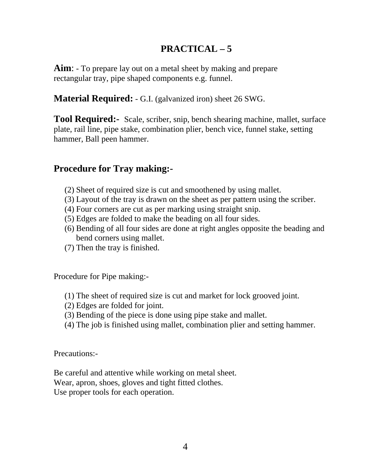## **PRACTICAL – 5**

**Aim**: - To prepare lay out on a metal sheet by making and prepare rectangular tray, pipe shaped components e.g. funnel.

**Material Required:** - G.I. (galvanized iron) sheet 26 SWG.

**Tool Required:-** Scale, scriber, snip, bench shearing machine, mallet, surface plate, rail line, pipe stake, combination plier, bench vice, funnel stake, setting hammer, Ball peen hammer.

## **Procedure for Tray making:-**

- (2) Sheet of required size is cut and smoothened by using mallet.
- (3) Layout of the tray is drawn on the sheet as per pattern using the scriber.
- (4) Four corners are cut as per marking using straight snip.
- (5) Edges are folded to make the beading on all four sides.
- (6) Bending of all four sides are done at right angles opposite the beading and bend corners using mallet.
- (7) Then the tray is finished.

Procedure for Pipe making:-

- (1) The sheet of required size is cut and market for lock grooved joint.
- (2) Edges are folded for joint.
- (3) Bending of the piece is done using pipe stake and mallet.
- (4) The job is finished using mallet, combination plier and setting hammer.

Precautions:-

Be careful and attentive while working on metal sheet. Wear, apron, shoes, gloves and tight fitted clothes. Use proper tools for each operation.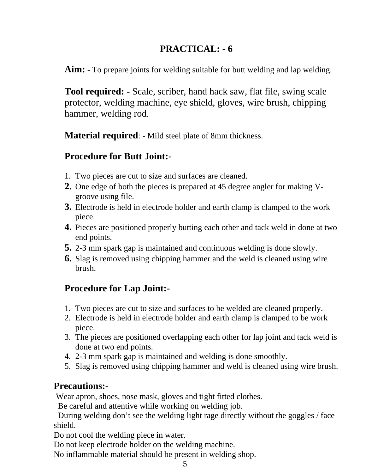**Aim:** - To prepare joints for welding suitable for butt welding and lap welding.

**Tool required:** - Scale, scriber, hand hack saw, flat file, swing scale protector, welding machine, eye shield, gloves, wire brush, chipping hammer, welding rod.

**Material required**: - Mild steel plate of 8mm thickness.

## **Procedure for Butt Joint:-**

- 1. Two pieces are cut to size and surfaces are cleaned.
- **2.** One edge of both the pieces is prepared at 45 degree angler for making Vgroove using file.
- **3.** Electrode is held in electrode holder and earth clamp is clamped to the work piece.
- **4.** Pieces are positioned properly butting each other and tack weld in done at two end points.
- **5.** 2-3 mm spark gap is maintained and continuous welding is done slowly.
- **6.** Slag is removed using chipping hammer and the weld is cleaned using wire brush.

## **Procedure for Lap Joint:-**

- 1. Two pieces are cut to size and surfaces to be welded are cleaned properly.
- 2. Electrode is held in electrode holder and earth clamp is clamped to be work piece.
- 3. The pieces are positioned overlapping each other for lap joint and tack weld is done at two end points.
- 4. 2-3 mm spark gap is maintained and welding is done smoothly.
- 5. Slag is removed using chipping hammer and weld is cleaned using wire brush.

## **Precautions:-**

Wear apron, shoes, nose mask, gloves and tight fitted clothes.

Be careful and attentive while working on welding job.

 During welding don't see the welding light rage directly without the goggles / face shield.

Do not cool the welding piece in water.

Do not keep electrode holder on the welding machine.

No inflammable material should be present in welding shop.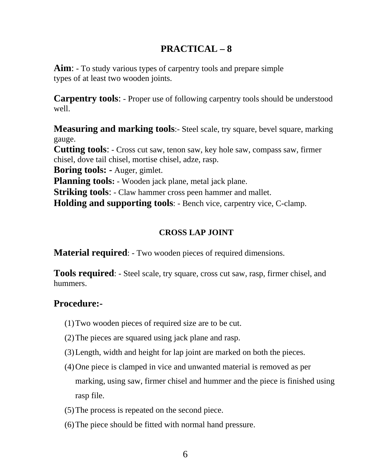## **PRACTICAL – 8**

**Aim**: - To study various types of carpentry tools and prepare simple types of at least two wooden joints.

**Carpentry tools:** - Proper use of following carpentry tools should be understood well.

**Measuring and marking tools**:- Steel scale, try square, bevel square, marking gauge.

**Cutting tools**: - Cross cut saw, tenon saw, key hole saw, compass saw, firmer chisel, dove tail chisel, mortise chisel, adze, rasp.

**Boring tools: -** Auger, gimlet.

**Planning tools:** - Wooden jack plane, metal jack plane.

**Striking tools:** - Claw hammer cross peen hammer and mallet.

**Holding and supporting tools**: - Bench vice, carpentry vice, C-clamp.

#### **CROSS LAP JOINT**

**Material required**: - Two wooden pieces of required dimensions.

**Tools required**: - Steel scale, try square, cross cut saw, rasp, firmer chisel, and hummers.

## **Procedure:-**

- (1)Two wooden pieces of required size are to be cut.
- (2)The pieces are squared using jack plane and rasp.
- (3)Length, width and height for lap joint are marked on both the pieces.
- (4)One piece is clamped in vice and unwanted material is removed as per marking, using saw, firmer chisel and hummer and the piece is finished using rasp file.
- (5)The process is repeated on the second piece.
- (6)The piece should be fitted with normal hand pressure.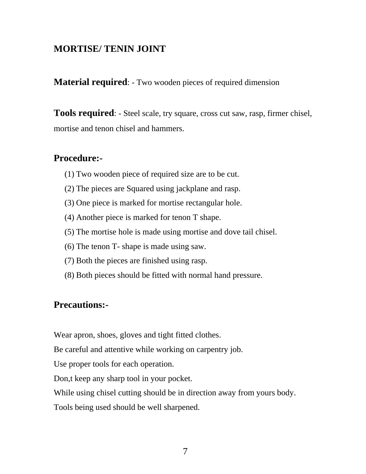#### **MORTISE/ TENIN JOINT**

**Material required:** - Two wooden pieces of required dimension

**Tools required**: - Steel scale, try square, cross cut saw, rasp, firmer chisel, mortise and tenon chisel and hammers.

#### **Procedure:-**

- (1) Two wooden piece of required size are to be cut.
- (2) The pieces are Squared using jackplane and rasp.
- (3) One piece is marked for mortise rectangular hole.
- (4) Another piece is marked for tenon T shape.
- (5) The mortise hole is made using mortise and dove tail chisel.
- (6) The tenon T- shape is made using saw.
- (7) Both the pieces are finished using rasp.
- (8) Both pieces should be fitted with normal hand pressure.

#### **Precautions:-**

Wear apron, shoes, gloves and tight fitted clothes.

Be careful and attentive while working on carpentry job.

Use proper tools for each operation.

Don,t keep any sharp tool in your pocket.

While using chisel cutting should be in direction away from yours body.

Tools being used should be well sharpened.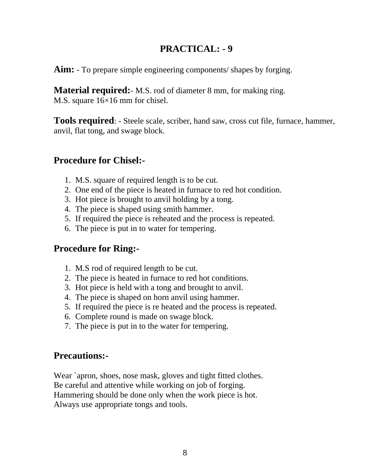**Aim:** - To prepare simple engineering components/ shapes by forging.

**Material required:** M.S. rod of diameter 8 mm, for making ring. M.S. square 16×16 mm for chisel.

**Tools required**: - Steele scale, scriber, hand saw, cross cut file, furnace, hammer, anvil, flat tong, and swage block.

### **Procedure for Chisel:-**

- 1. M.S. square of required length is to be cut.
- 2. One end of the piece is heated in furnace to red hot condition.
- 3. Hot piece is brought to anvil holding by a tong.
- 4. The piece is shaped using smith hammer.
- 5. If required the piece is reheated and the process is repeated.
- 6. The piece is put in to water for tempering.

### **Procedure for Ring:-**

- 1. M.S rod of required length to be cut.
- 2. The piece is heated in furnace to red hot conditions.
- 3. Hot piece is held with a tong and brought to anvil.
- 4. The piece is shaped on horn anvil using hammer.
- 5. If required the piece is re heated and the process is repeated.
- 6. Complete round is made on swage block.
- 7. The piece is put in to the water for tempering.

### **Precautions:-**

Wear `apron, shoes, nose mask, gloves and tight fitted clothes. Be careful and attentive while working on job of forging. Hammering should be done only when the work piece is hot. Always use appropriate tongs and tools.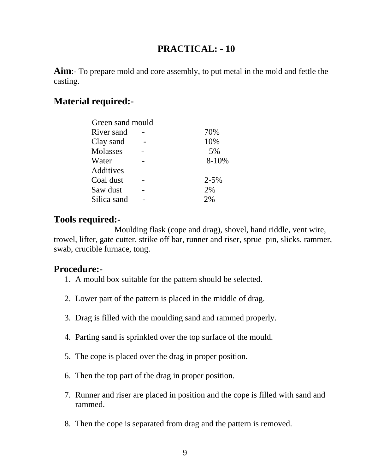**Aim**:- To prepare mold and core assembly, to put metal in the mold and fettle the casting.

#### **Material required:-**

| Green sand mould |           |
|------------------|-----------|
| River sand       | 70%       |
| Clay sand        | 10%       |
| Molasses         | 5%        |
| Water            | 8-10%     |
| Additives        |           |
| Coal dust        | $2 - 5\%$ |
| Saw dust         | 2%        |
| Silica sand      | 2%        |
|                  |           |

#### **Tools required:-**

 Moulding flask (cope and drag), shovel, hand riddle, vent wire, trowel, lifter, gate cutter, strike off bar, runner and riser, sprue pin, slicks, rammer, swab, crucible furnace, tong.

#### **Procedure:-**

- 1. A mould box suitable for the pattern should be selected.
- 2. Lower part of the pattern is placed in the middle of drag.
- 3. Drag is filled with the moulding sand and rammed properly.
- 4. Parting sand is sprinkled over the top surface of the mould.
- 5. The cope is placed over the drag in proper position.
- 6. Then the top part of the drag in proper position.
- 7. Runner and riser are placed in position and the cope is filled with sand and rammed.
- 8. Then the cope is separated from drag and the pattern is removed.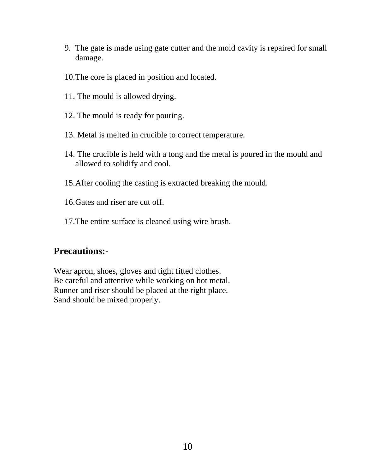- 9. The gate is made using gate cutter and the mold cavity is repaired for small damage.
- 10.The core is placed in position and located.
- 11. The mould is allowed drying.
- 12. The mould is ready for pouring.
- 13. Metal is melted in crucible to correct temperature.
- 14. The crucible is held with a tong and the metal is poured in the mould and allowed to solidify and cool.
- 15.After cooling the casting is extracted breaking the mould.
- 16.Gates and riser are cut off.
- 17.The entire surface is cleaned using wire brush.

#### **Precautions:-**

Wear apron, shoes, gloves and tight fitted clothes. Be careful and attentive while working on hot metal. Runner and riser should be placed at the right place. Sand should be mixed properly.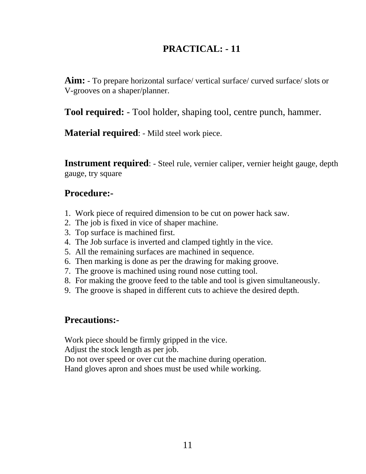**Aim:** - To prepare horizontal surface/ vertical surface/ curved surface/ slots or V-grooves on a shaper/planner.

**Tool required:** - Tool holder, shaping tool, centre punch, hammer.

**Material required**: - Mild steel work piece.

**Instrument required**: - Steel rule, vernier caliper, vernier height gauge, depth gauge, try square

#### **Procedure:-**

- 1. Work piece of required dimension to be cut on power hack saw.
- 2. The job is fixed in vice of shaper machine.
- 3. Top surface is machined first.
- 4. The Job surface is inverted and clamped tightly in the vice.
- 5. All the remaining surfaces are machined in sequence.
- 6. Then marking is done as per the drawing for making groove.
- 7. The groove is machined using round nose cutting tool.
- 8. For making the groove feed to the table and tool is given simultaneously.
- 9. The groove is shaped in different cuts to achieve the desired depth.

#### **Precautions:-**

Work piece should be firmly gripped in the vice.

Adjust the stock length as per job.

Do not over speed or over cut the machine during operation.

Hand gloves apron and shoes must be used while working.